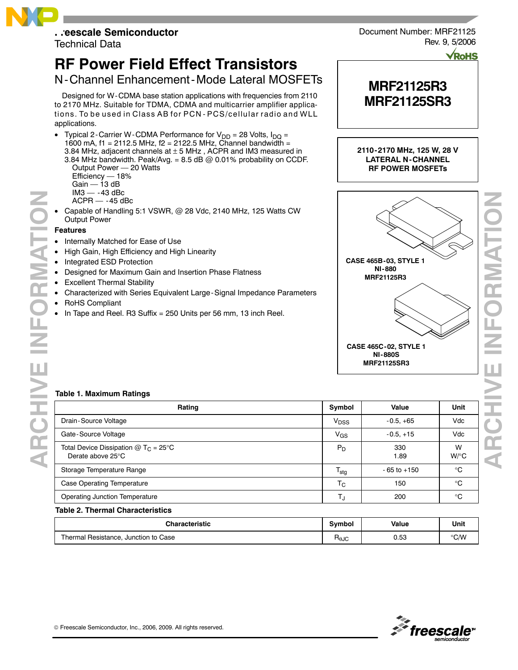

Document Number: MRF21125 Rev. 9, 5/2006

**VROHS** 

# **RF Power Field Effect Transistors** N-Channel Enhancement-Mode Lateral MOSFETs

Designed for W-CDMA base station applications with frequencies from 2110 to 2170 MHz. Suitable for TDMA, CDMA and multicarrier amplifier applications. To be used in Class AB for PCN - PCS/cellular radio and WLL applications.

• Typical 2-Carrier W-CDMA Performance for  $V_{DD} = 28$  Volts,  $I_{DD} =$ 1600 mA, f1 = 2112.5 MHz, f2 = 2122.5 MHz, Channel bandwidth = 3.84 MHz, adjacent channels at  $\pm$  5 MHz, ACPR and IM3 measured in 3.84 MHz bandwidth. Peak/Avg. =  $8.5$  dB @ 0.01% probability on CCDF. Output Power - 20 Watts

```
Efficiency - 18%Gain - 13 dBIM3 - -43 dBc
ACPR - -45 dBc
```
• Capable of Handling 5:1 VSWR, @ 28 Vdc, 2140 MHz, 125 Watts CW Output Power

### **Features**

- Internally Matched for Ease of Use
- High Gain, High Efficiency and High Linearity
- Integrated ESD Protection
- Designed for Maximum Gain and Insertion Phase Flatness
- Excellent Thermal Stability
- Characterized with Series Equivalent Large-Signal Impedance Parameters
- RoHS Compliant
- In Tape and Reel. R3 Suffix = 250 Units per 56 mm, 13 inch Reel.



**MRF21125R3**



### **Table 1. Maximum Ratings**

**AR**

**CHIVE INF**

**ORMATI**

**O**

**N**

| Rating                                                      | Symbol                    | Value           | Unit                 |
|-------------------------------------------------------------|---------------------------|-----------------|----------------------|
| Drain-Source Voltage                                        | V <sub>DSS</sub>          | $-0.5. +65$     | Vdc                  |
| Gate-Source Voltage                                         | $V_{GS}$                  | $-0.5. +15$     | Vdc                  |
| Total Device Dissipation $@T_C = 25°C$<br>Derate above 25°C | $P_D$                     | 330<br>1.89     | W<br>$W$ / $\circ$ C |
| Storage Temperature Range                                   | $\mathsf{T_{\text{stg}}}$ | $-65$ to $+150$ | °C                   |
| <b>Case Operating Temperature</b>                           | $T_{\rm C}$               | 150             | $^{\circ}$ C         |
| <b>Operating Junction Temperature</b>                       | Т.,                       | 200             | °C                   |

### **Table 2. Thermal Characteristics**

| Characteristic                       |  | Value | Unit |
|--------------------------------------|--|-------|------|
| Thermal Resistance, Junction to Case |  | 0.53  | °C/W |

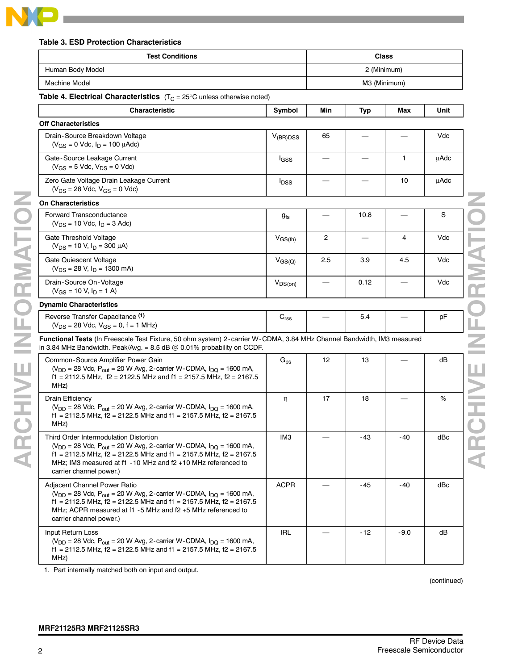

### **Table 3. ESD Protection Characteristics**

| <b>Test Conditions</b>                                                                                                                                                                                                                                                                        |                    | <b>Class</b> |              |        |      |  |
|-----------------------------------------------------------------------------------------------------------------------------------------------------------------------------------------------------------------------------------------------------------------------------------------------|--------------------|--------------|--------------|--------|------|--|
| Human Body Model                                                                                                                                                                                                                                                                              |                    | 2 (Minimum)  |              |        |      |  |
| Machine Model                                                                                                                                                                                                                                                                                 |                    |              | M3 (Minimum) |        |      |  |
| <b>Table 4. Electrical Characteristics</b> $(T_C = 25^{\circ}C)$ unless otherwise noted)                                                                                                                                                                                                      |                    |              |              |        |      |  |
| <b>Characteristic</b>                                                                                                                                                                                                                                                                         | Symbol             | Min          | Typ          | Max    | Unit |  |
| <b>Off Characteristics</b>                                                                                                                                                                                                                                                                    |                    |              |              |        |      |  |
| Drain-Source Breakdown Voltage<br>$(V_{GS} = 0$ Vdc, $I_D = 100 \mu$ Adc)                                                                                                                                                                                                                     | $V_{(BR)DSS}$      | 65           |              |        | Vdc  |  |
| Gate-Source Leakage Current<br>$(V_{GS} = 5$ Vdc, $V_{DS} = 0$ Vdc)                                                                                                                                                                                                                           | lgss               |              |              | 1      | μAdc |  |
| Zero Gate Voltage Drain Leakage Current<br>$(V_{DS} = 28$ Vdc, $V_{GS} = 0$ Vdc)                                                                                                                                                                                                              | I <sub>DSS</sub>   |              |              | 10     | μAdc |  |
| <b>On Characteristics</b>                                                                                                                                                                                                                                                                     |                    |              |              |        |      |  |
| Forward Transconductance<br>$(V_{DS} = 10$ Vdc, $I_{D} = 3$ Adc)                                                                                                                                                                                                                              | $g_{fs}$           |              | 10.8         |        | S    |  |
| Gate Threshold Voltage<br>$(V_{DS} = 10 V, I_D = 300 \mu A)$                                                                                                                                                                                                                                  | $V_{GS(th)}$       | 2            |              | 4      | Vdc  |  |
| Gate Quiescent Voltage<br>$(V_{DS} = 28 V, I_D = 1300 mA)$                                                                                                                                                                                                                                    | $V_{GS(Q)}$        | 2.5          | 3.9          | 4.5    | Vdc  |  |
| Drain-Source On-Voltage<br>$(V_{GS} = 10 V, I_D = 1 A)$                                                                                                                                                                                                                                       | $V_{DS(on)}$       |              | 0.12         |        | Vdc  |  |
| <b>Dynamic Characteristics</b>                                                                                                                                                                                                                                                                |                    |              |              |        |      |  |
| Reverse Transfer Capacitance (1)<br>$(V_{DS} = 28$ Vdc, $V_{GS} = 0$ , f = 1 MHz)                                                                                                                                                                                                             | C <sub>rss</sub>   |              | 5.4          |        | pF   |  |
| Functional Tests (In Freescale Test Fixture, 50 ohm system) 2-carrier W-CDMA, 3.84 MHz Channel Bandwidth, IM3 measured<br>in 3.84 MHz Bandwidth. Peak/Avg. = 8.5 dB $\omega$ 0.01% probability on CCDF.                                                                                       |                    |              |              |        |      |  |
| Common-Source Amplifier Power Gain<br>( $V_{DD}$ = 28 Vdc, P <sub>out</sub> = 20 W Avg, 2-carrier W-CDMA, $I_{DQ}$ = 1600 mA,<br>$f1 = 2112.5$ MHz, $f2 = 2122.5$ MHz and $f1 = 2157.5$ MHz, $f2 = 2167.5$<br>MHz)                                                                            | $\rm{G}_{\rm{ps}}$ | 12           | 13           |        | dВ   |  |
| Drain Efficiency<br>( $V_{DD}$ = 28 Vdc, P <sub>out</sub> = 20 W Avg, 2-carrier W-CDMA, $I_{DO}$ = 1600 mA,<br>f1 = 2112.5 MHz, f2 = 2122.5 MHz and f1 = 2157.5 MHz, f2 = 2167.5<br>MHz)                                                                                                      | η                  | 17           | 18           |        | %    |  |
| Third Order Intermodulation Distortion<br>$(V_{DD} = 28$ Vdc, $P_{out} = 20$ W Avg, 2-carrier W-CDMA, $I_{DQ} = 1600$ mA,<br>f1 = 2112.5 MHz, f2 = 2122.5 MHz and f1 = 2157.5 MHz, f2 = 2167.5<br>MHz; IM3 measured at f1 $-10$ MHz and f2 $+10$ MHz referenced to<br>carrier channel power.) | IM <sub>3</sub>    |              | -43          | -40    | dBc  |  |
| Adjacent Channel Power Ratio<br>$(V_{DD} = 28$ Vdc, $P_{out} = 20$ W Avg, 2-carrier W-CDMA, $I_{DQ} = 1600$ mA,<br>f1 = 2112.5 MHz, f2 = 2122.5 MHz and f1 = 2157.5 MHz, f2 = 2167.5<br>MHz; ACPR measured at f1 -5 MHz and f2 +5 MHz referenced to<br>carrier channel power.)                | <b>ACPR</b>        |              | -45          | - 40   | dBc  |  |
| Input Return Loss<br>$(V_{DD} = 28$ Vdc, $P_{out} = 20$ W Avg, 2-carrier W-CDMA, $I_{DO} = 1600$ mA,<br>f1 = 2112.5 MHz, f2 = 2122.5 MHz and f1 = 2157.5 MHz, f2 = 2167.5<br>MHz)                                                                                                             | <b>IRL</b>         |              | $-12$        | $-9.0$ | dB   |  |
|                                                                                                                                                                                                                                                                                               |                    |              |              |        |      |  |

1. Part internally matched both on input and output.

(continued)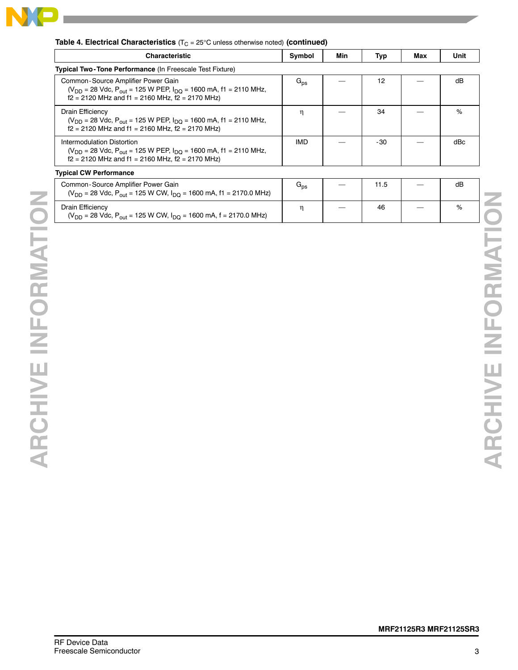

### **Table 4. Electrical Characteristics** (T<sub>C</sub> = 25°C unless otherwise noted) (continued)

( $V_{DD}$  = 28 Vdc, P<sub>out</sub> = 125 W CW,  $I_{DQ}$  = 1600 mA, f1 = 2170.0 MHz)

| <b>Characteristic</b>                                                                                                                                                        | Symbol     | Min | Typ  | Max | Unit |
|------------------------------------------------------------------------------------------------------------------------------------------------------------------------------|------------|-----|------|-----|------|
| Typical Two-Tone Performance (In Freescale Test Fixture)                                                                                                                     |            |     |      |     |      |
| Common-Source Amplifier Power Gain<br>$(V_{DD} = 28$ Vdc, $P_{out} = 125$ W PEP, $I_{DD} = 1600$ mA, f1 = 2110 MHz,<br>$f2 = 2120$ MHz and $f1 = 2160$ MHz, $f2 = 2170$ MHz) |            |     | 12   |     | dB   |
| Drain Efficiency<br>$(V_{DD} = 28$ Vdc, $P_{out} = 125$ W PEP, $I_{DD} = 1600$ mA, f1 = 2110 MHz,<br>$f2 = 2120$ MHz and $f1 = 2160$ MHz, $f2 = 2170$ MHz)                   | η          |     | 34   |     | %    |
| Intermodulation Distortion<br>$(V_{DD} = 28$ Vdc, $P_{out} = 125$ W PEP, $I_{DO} = 1600$ mA, f1 = 2110 MHz,<br>$f2 = 2120$ MHz and $f1 = 2160$ MHz, $f2 = 2170$ MHz)         | <b>IMD</b> |     | -30  |     | dBc  |
| <b>Typical CW Performance</b>                                                                                                                                                |            |     |      |     |      |
| Common-Source Amplifier Power Gain                                                                                                                                           | $G_{ns}$   |     | 11.5 |     | dB   |

**AR**

# **MRF21125R3 MRF21125SR3**

 $\rm{G}_{ps}$   $\rm{]}$   $\rm{-}$   $\rm{]}$  11.5  $\rm{]}$   $\rm{-}$   $\rm{]}$  dB

η | - | 46 | - | %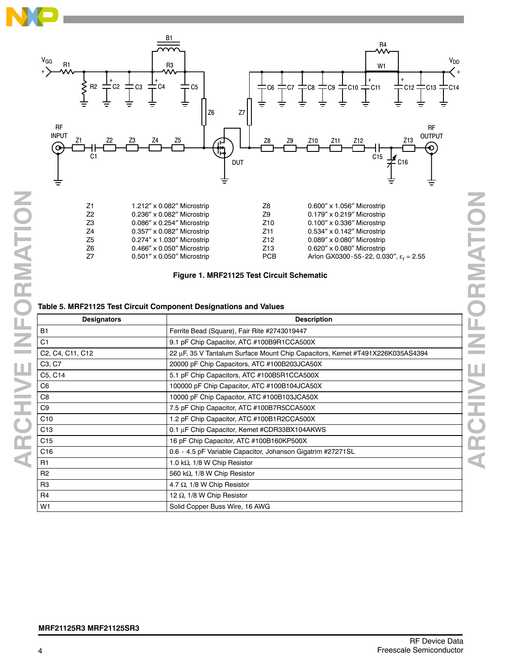

| Z1             | $1.212''$ x 0.082" Microstrip       | Z8              | $0.600''$ x 1.056" Microstrip                      |
|----------------|-------------------------------------|-----------------|----------------------------------------------------|
| Z <sub>2</sub> | $0.236''$ x $0.082''$ Microstrip    | Z9              | $0.179''$ x $0.219''$ Microstrip                   |
| Z <sub>3</sub> | $0.086''$ x $0.254''$ Microstrip    | Z <sub>10</sub> | $0.100''$ x $0.336''$ Microstrip                   |
| Z4             | $0.357''$ x $0.082''$ Microstrip    | Z <sub>11</sub> | $0.534'' \times 0.142''$ Microstrip                |
| Z <sub>5</sub> | $0.274'' \times 1.030''$ Microstrip | Z <sub>12</sub> | $0.089'' \times 0.080''$ Microstrip                |
| Z <sub>6</sub> | $0.466''$ x $0.050''$ Microstrip    | Z <sub>13</sub> | $0.620''$ x $0.080''$ Microstrip                   |
| Z7             | $0.501''$ x $0.050''$ Microstrip    | <b>PCB</b>      | Arlon GX0300-55-22, 0.030", $\varepsilon_r = 2.55$ |



### **Table 5. MRF21125 Test Circuit Component Designations and Values**

| <b>Designators</b>                                                  | <b>Description</b>                                                            |  |  |
|---------------------------------------------------------------------|-------------------------------------------------------------------------------|--|--|
| <b>B1</b>                                                           | Ferrite Bead (Square), Fair Rite #2743019447                                  |  |  |
| C <sub>1</sub>                                                      | 9.1 pF Chip Capacitor, ATC #100B9R1CCA500X                                    |  |  |
| C <sub>2</sub> , C <sub>4</sub> , C <sub>11</sub> , C <sub>12</sub> | 22 µF, 35 V Tantalum Surface Mount Chip Capacitors, Kemet #T491X226K035AS4394 |  |  |
| C <sub>3</sub> , C <sub>7</sub>                                     | 20000 pF Chip Capacitors, ATC #100B203JCA50X                                  |  |  |
| C5, C14                                                             | 5.1 pF Chip Capacitors, ATC #100B5R1CCA500X                                   |  |  |
| C6                                                                  | 100000 pF Chip Capacitor, ATC #100B104JCA50X                                  |  |  |
| C8                                                                  | 10000 pF Chip Capacitor, ATC #100B103JCA50X                                   |  |  |
| C <sub>9</sub>                                                      | 7.5 pF Chip Capacitor, ATC #100B7R5CCA500X                                    |  |  |
| C <sub>10</sub>                                                     | 1.2 pF Chip Capacitor, ATC #100B1R2CCA500X                                    |  |  |
| C <sub>13</sub>                                                     | 0.1 µF Chip Capacitor, Kemet #CDR33BX104AKWS                                  |  |  |
| C <sub>15</sub>                                                     | 16 pF Chip Capacitor, ATC #100B160KP500X                                      |  |  |
| C16                                                                 | 0.6 - 4.5 pF Variable Capacitor, Johanson Gigatrim #27271SL                   |  |  |
| R1                                                                  | 1.0 k $\Omega$ , 1/8 W Chip Resistor                                          |  |  |
| R <sub>2</sub>                                                      | 560 kΩ, 1/8 W Chip Resistor                                                   |  |  |
| R <sub>3</sub>                                                      | 4.7 $\Omega$ , 1/8 W Chip Resistor                                            |  |  |
| R <sub>4</sub>                                                      | 12 $\Omega$ , 1/8 W Chip Resistor                                             |  |  |
| W1                                                                  | Solid Copper Buss Wire, 16 AWG                                                |  |  |

# **MRF21125R3 MRF21125SR3**

**AR**

**CHIVE INF**

**ORMATI**

**O**

**N**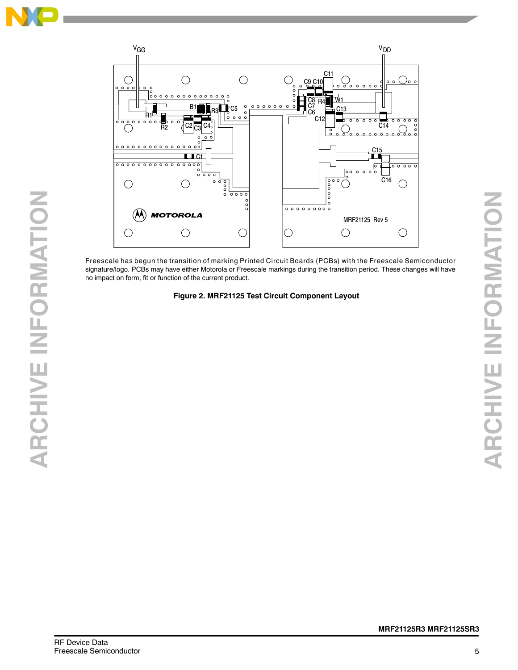



Freescale has begun the transition of marking Printed Circuit Boards (PCBs) with the Freescale Semiconductor signature/logo. PCBs may have either Motorola or Freescale markings during the transition period. These changes will have no impact on form, fit or function of the current product.

### **Figure 2. MRF21125 Test Circuit Component Layout**

**ARCHIVE INFORMATION**

ARCHIVE INFORMATION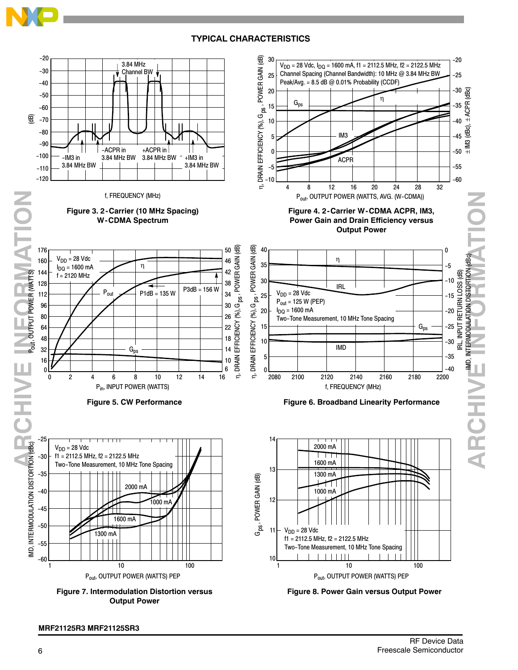



### **MRF21125R3 MRF21125SR3**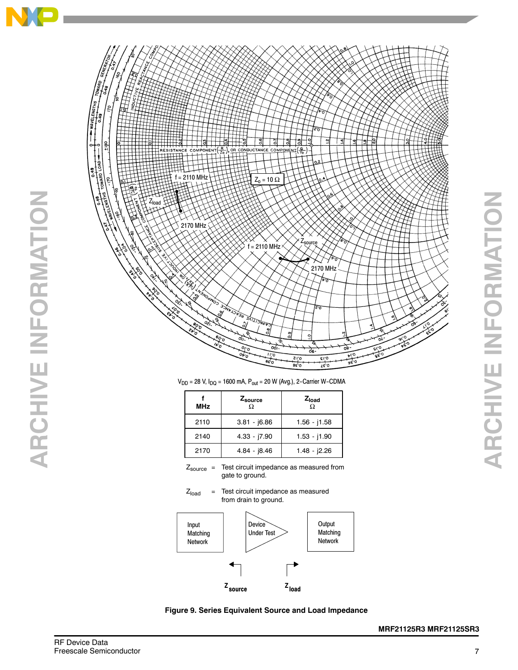**AR CHIVE INF ORMATI O N**



V<sub>DD</sub> = 28 V, I<sub>DQ</sub> = 1600 mA, P<sub>out</sub> = 20 W (Avg.), 2-Carrier W-CDMA

| <b>MHz</b> | Zsource<br>Ω   | Z <sub>load</sub><br>Ω |
|------------|----------------|------------------------|
| 2110       | $3.81 - j6.86$ | $1.56 - j1.58$         |
| 2140       | $4.33 - 7.90$  | $1.53 - j1.90$         |
| 2170       | $4.84 - j8.46$ | $1.48 - j2.26$         |

| $Z_{\text{source}}$ = | Test circuit impedance as measured from |
|-----------------------|-----------------------------------------|
|                       | gate to ground.                         |





**Figure 9. Series Equivalent Source and Load Impedance**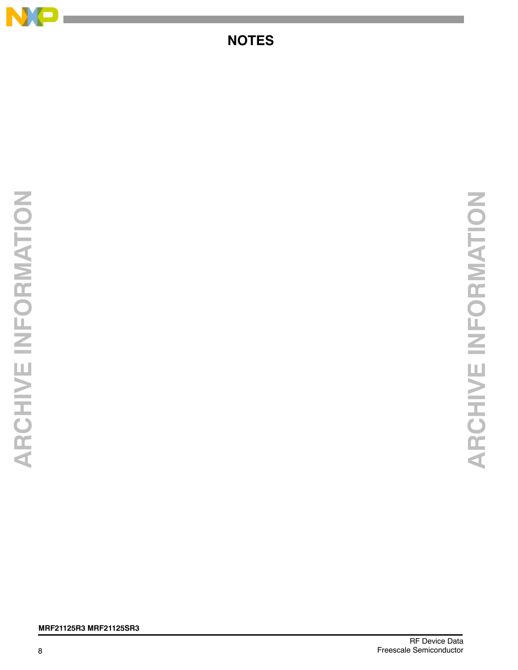

# **NOTES**

# **ARCHIVE INFORMATION ARCHIVE INFORMATION**

# **MRF21125R3 MRF21125SR3**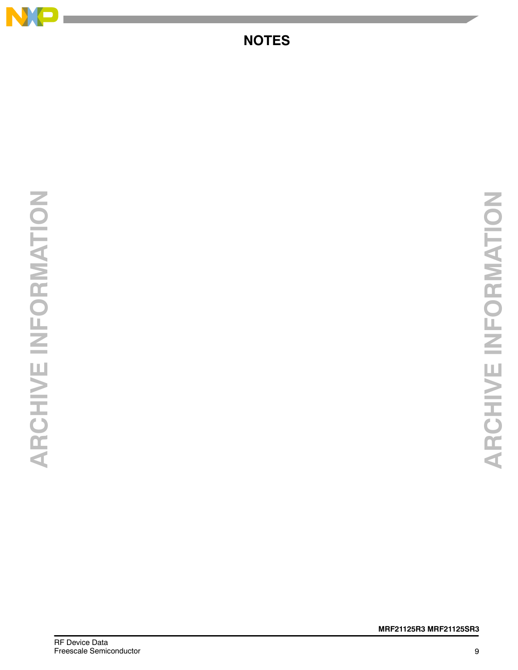

# **NOTES**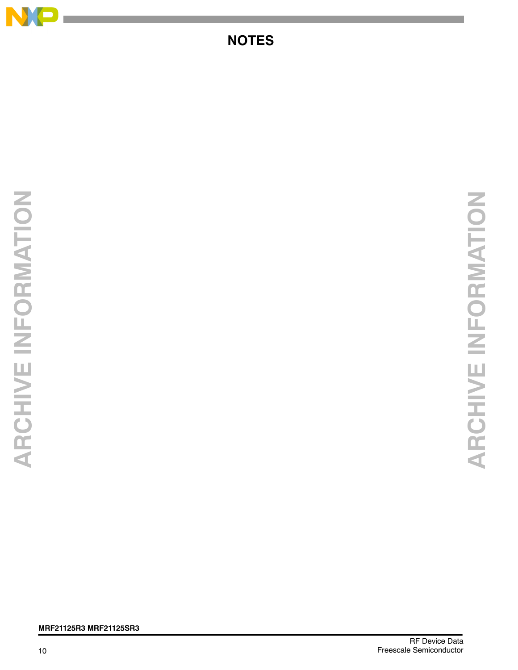

# **NOTES**

# **ARCHIVE INFORMATION ARCHIVE INFORMATION**

## **MRF21125R3 MRF21125SR3**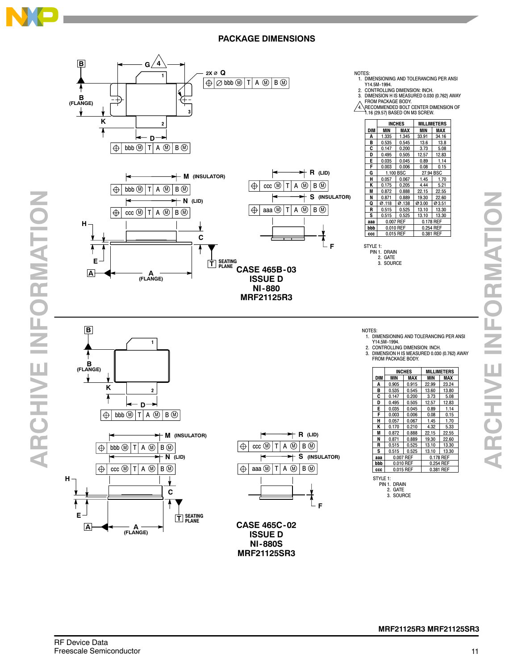

### **PACKAGE DIMENSIONS**